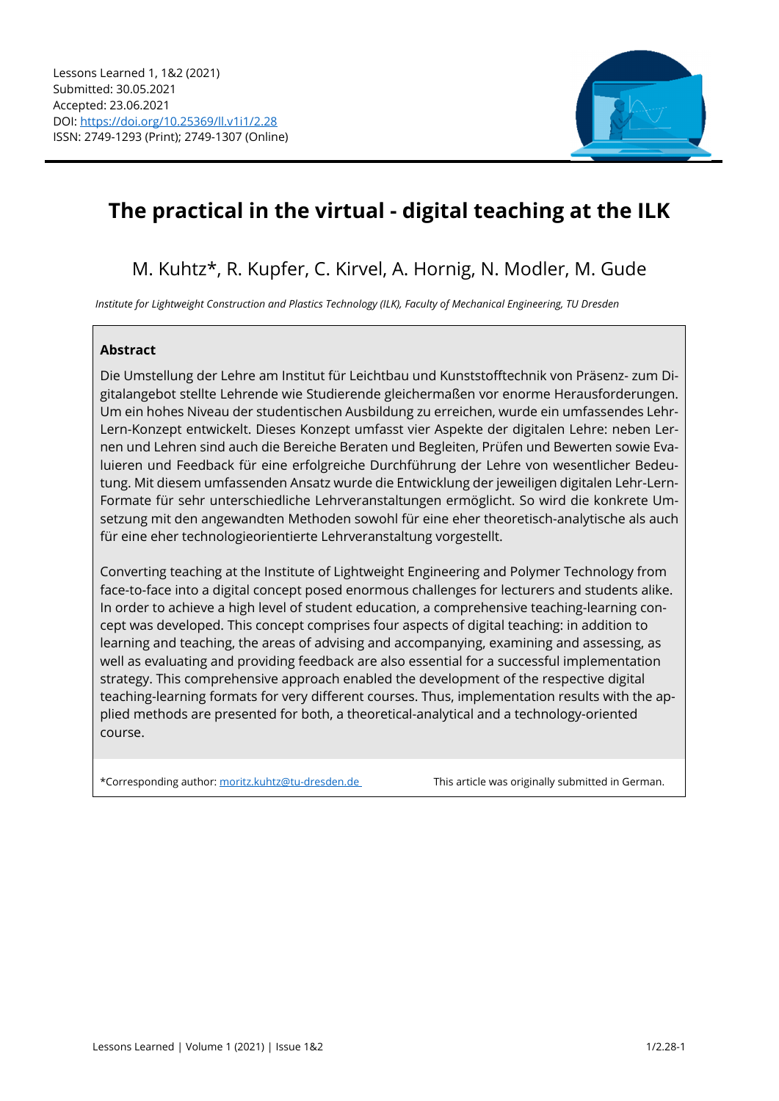

# **The practical in the virtual - digital teaching at the ILK**

# M. Kuhtz\*, R. Kupfer, C. Kirvel, A. Hornig, N. Modler, M. Gude

*Institute for Lightweight Construction and Plastics Technology (ILK), Faculty of Mechanical Engineering, TU Dresden* 

# **Abstract**

Die Umstellung der Lehre am Institut für Leichtbau und Kunststofftechnik von Präsenz- zum Digitalangebot stellte Lehrende wie Studierende gleichermaßen vor enorme Herausforderungen. Um ein hohes Niveau der studentischen Ausbildung zu erreichen, wurde ein umfassendes Lehr-Lern-Konzept entwickelt. Dieses Konzept umfasst vier Aspekte der digitalen Lehre: neben Lernen und Lehren sind auch die Bereiche Beraten und Begleiten, Prüfen und Bewerten sowie Evaluieren und Feedback für eine erfolgreiche Durchführung der Lehre von wesentlicher Bedeutung. Mit diesem umfassenden Ansatz wurde die Entwicklung der jeweiligen digitalen Lehr-Lern-Formate für sehr unterschiedliche Lehrveranstaltungen ermöglicht. So wird die konkrete Umsetzung mit den angewandten Methoden sowohl für eine eher theoretisch-analytische als auch für eine eher technologieorientierte Lehrveranstaltung vorgestellt.

Converting teaching at the Institute of Lightweight Engineering and Polymer Technology from face-to-face into a digital concept posed enormous challenges for lecturers and students alike. In order to achieve a high level of student education, a comprehensive teaching-learning concept was developed. This concept comprises four aspects of digital teaching: in addition to learning and teaching, the areas of advising and accompanying, examining and assessing, as well as evaluating and providing feedback are also essential for a successful implementation strategy. This comprehensive approach enabled the development of the respective digital teaching-learning formats for very different courses. Thus, implementation results with the applied methods are presented for both, a theoretical-analytical and a technology-oriented course.

\*Corresponding author: moritz.kuhtz@tu-dresden.de This article was originally submitted in German.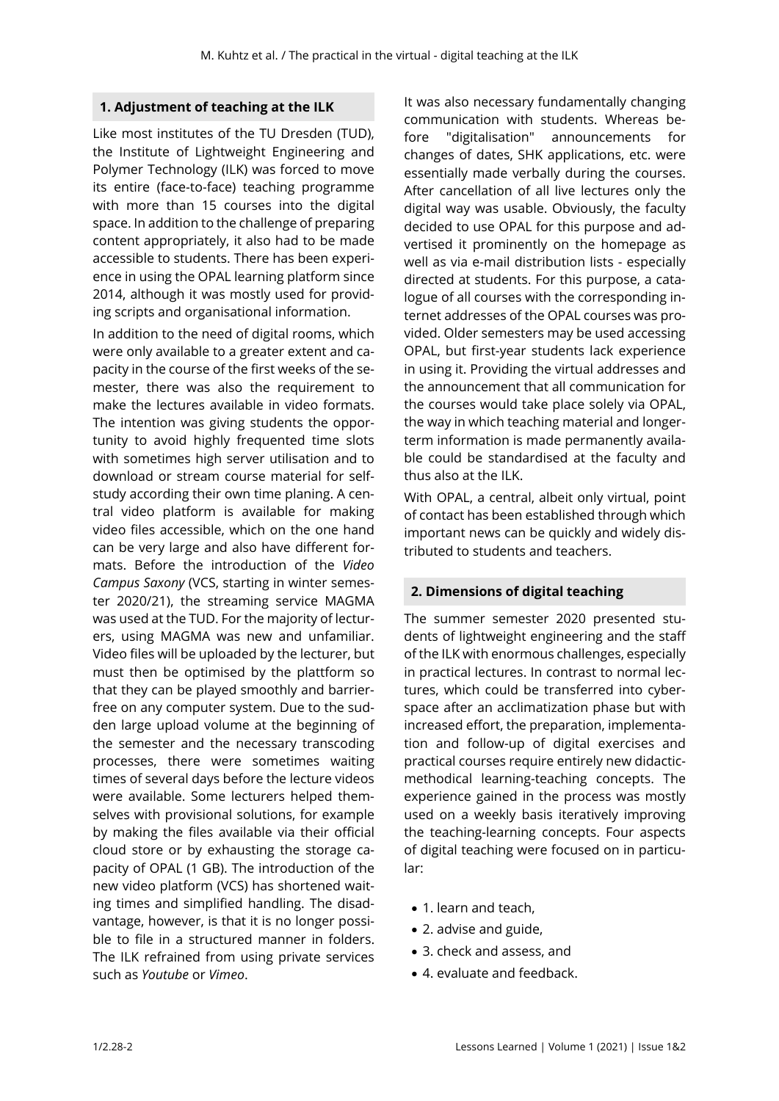# **1. Adjustment of teaching at the ILK**

Like most institutes of the TU Dresden (TUD), the Institute of Lightweight Engineering and Polymer Technology (ILK) was forced to move its entire (face-to-face) teaching programme with more than 15 courses into the digital space. In addition to the challenge of preparing content appropriately, it also had to be made accessible to students. There has been experience in using the OPAL learning platform since 2014, although it was mostly used for providing scripts and organisational information.

In addition to the need of digital rooms, which were only available to a greater extent and capacity in the course of the first weeks of the semester, there was also the requirement to make the lectures available in video formats. The intention was giving students the opportunity to avoid highly frequented time slots with sometimes high server utilisation and to download or stream course material for selfstudy according their own time planing. A central video platform is available for making video files accessible, which on the one hand can be very large and also have different formats. Before the introduction of the *Video Campus Saxony* (VCS, starting in winter semester 2020/21), the streaming service MAGMA was used at the TUD. For the majority of lecturers, using MAGMA was new and unfamiliar. Video files will be uploaded by the lecturer, but must then be optimised by the plattform so that they can be played smoothly and barrierfree on any computer system. Due to the sudden large upload volume at the beginning of the semester and the necessary transcoding processes, there were sometimes waiting times of several days before the lecture videos were available. Some lecturers helped themselves with provisional solutions, for example by making the files available via their official cloud store or by exhausting the storage capacity of OPAL (1 GB). The introduction of the new video platform (VCS) has shortened waiting times and simplified handling. The disadvantage, however, is that it is no longer possible to file in a structured manner in folders. The ILK refrained from using private services such as *Youtube* or *Vimeo*.

It was also necessary fundamentally changing communication with students. Whereas before "digitalisation" announcements for changes of dates, SHK applications, etc. were essentially made verbally during the courses. After cancellation of all live lectures only the digital way was usable. Obviously, the faculty decided to use OPAL for this purpose and advertised it prominently on the homepage as well as via e-mail distribution lists - especially directed at students. For this purpose, a catalogue of all courses with the corresponding internet addresses of the OPAL courses was provided. Older semesters may be used accessing OPAL, but first-year students lack experience in using it. Providing the virtual addresses and the announcement that all communication for the courses would take place solely via OPAL, the way in which teaching material and longerterm information is made permanently available could be standardised at the faculty and thus also at the ILK.

With OPAL, a central, albeit only virtual, point of contact has been established through which important news can be quickly and widely distributed to students and teachers.

#### **2. Dimensions of digital teaching**

The summer semester 2020 presented students of lightweight engineering and the staff of the ILK with enormous challenges, especially in practical lectures. In contrast to normal lectures, which could be transferred into cyberspace after an acclimatization phase but with increased effort, the preparation, implementation and follow-up of digital exercises and practical courses require entirely new didacticmethodical learning-teaching concepts. The experience gained in the process was mostly used on a weekly basis iteratively improving the teaching-learning concepts. Four aspects of digital teaching were focused on in particular:

- 1. learn and teach,
- 2. advise and guide,
- 3. check and assess, and
- 4. evaluate and feedback.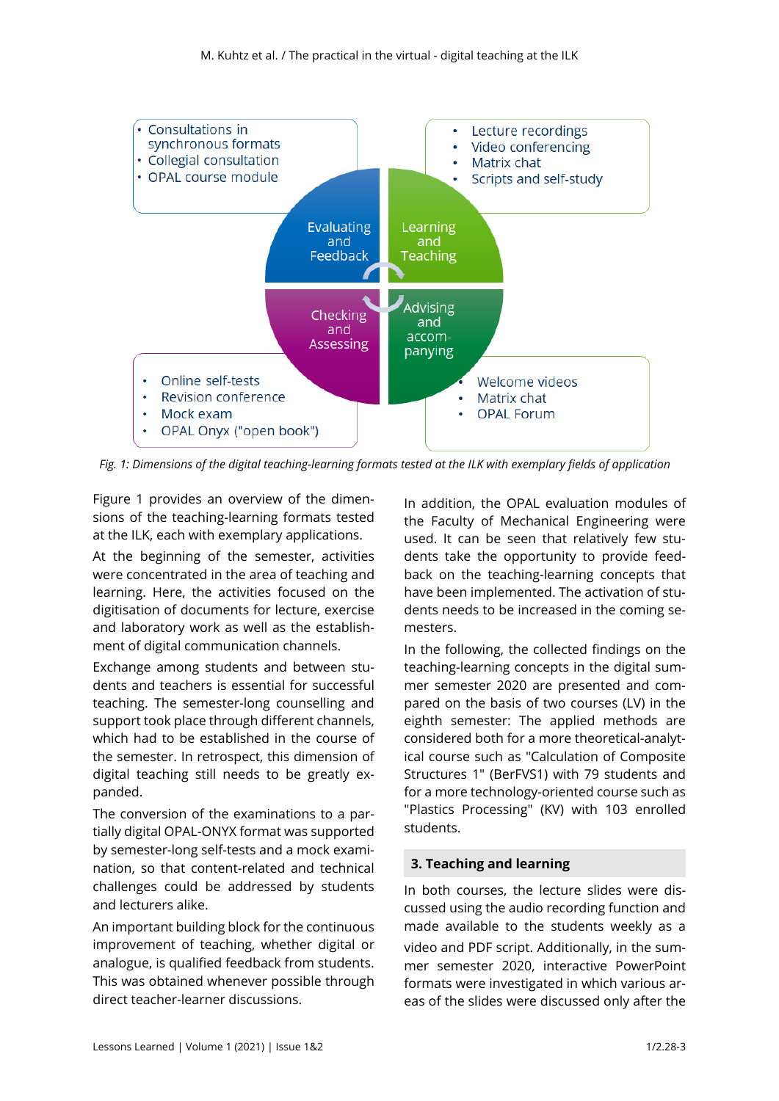

*Fig. 1: Dimensions of the digital teaching-learning formats tested at the ILK with exemplary fields of application* 

Figure 1 provides an overview of the dimensions of the teaching-learning formats tested at the ILK, each with exemplary applications.

At the beginning of the semester, activities were concentrated in the area of teaching and learning. Here, the activities focused on the digitisation of documents for lecture, exercise and laboratory work as well as the establishment of digital communication channels.

Exchange among students and between students and teachers is essential for successful teaching. The semester-long counselling and support took place through different channels, which had to be established in the course of the semester. In retrospect, this dimension of digital teaching still needs to be greatly expanded.

The conversion of the examinations to a partially digital OPAL-ONYX format was supported by semester-long self-tests and a mock examination, so that content-related and technical challenges could be addressed by students and lecturers alike.

An important building block for the continuous improvement of teaching, whether digital or analogue, is qualified feedback from students. This was obtained whenever possible through direct teacher-learner discussions.

In addition, the OPAL evaluation modules of the Faculty of Mechanical Engineering were used. It can be seen that relatively few students take the opportunity to provide feedback on the teaching-learning concepts that have been implemented. The activation of students needs to be increased in the coming semesters.

In the following, the collected findings on the teaching-learning concepts in the digital summer semester 2020 are presented and compared on the basis of two courses (LV) in the eighth semester: The applied methods are considered both for a more theoretical-analytical course such as "Calculation of Composite Structures 1" (BerFVS1) with 79 students and for a more technology-oriented course such as "Plastics Processing" (KV) with 103 enrolled students.

# **3. Teaching and learning**

In both courses, the lecture slides were discussed using the audio recording function and made available to the students weekly as a video and PDF script. Additionally, in the summer semester 2020, interactive PowerPoint formats were investigated in which various areas of the slides were discussed only after the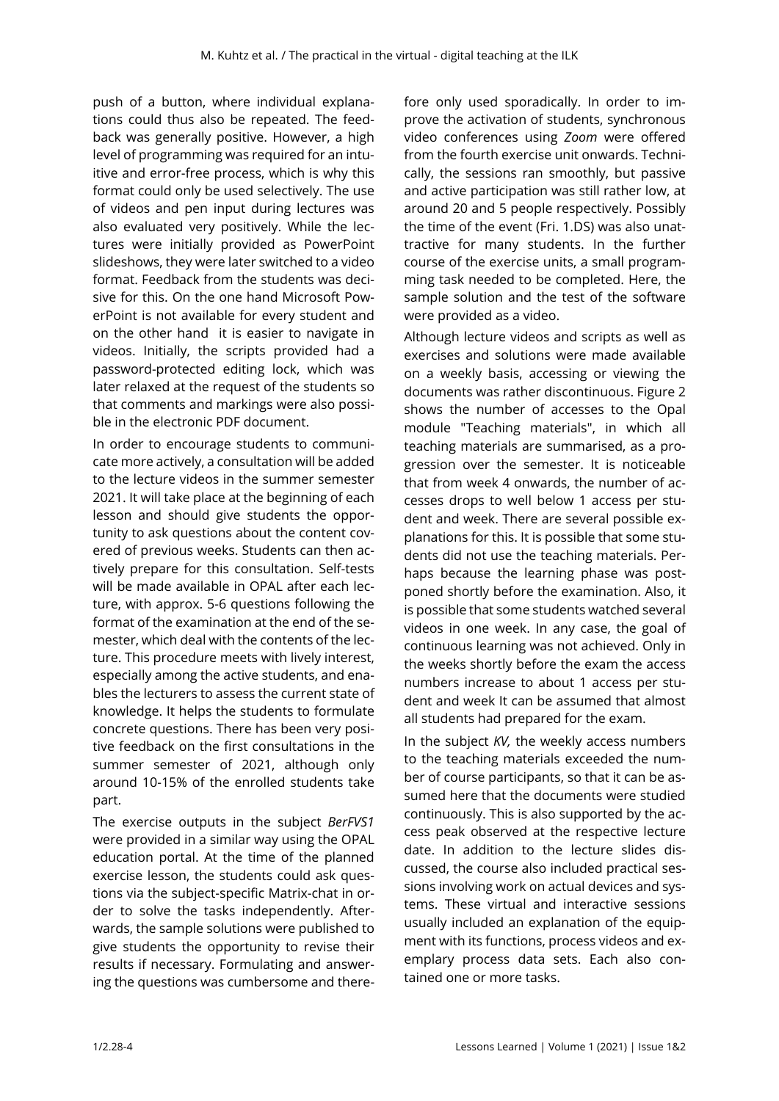push of a button, where individual explanations could thus also be repeated. The feedback was generally positive. However, a high level of programming was required for an intuitive and error-free process, which is why this format could only be used selectively. The use of videos and pen input during lectures was also evaluated very positively. While the lectures were initially provided as PowerPoint slideshows, they were later switched to a video format. Feedback from the students was decisive for this. On the one hand Microsoft PowerPoint is not available for every student and on the other hand it is easier to navigate in videos. Initially, the scripts provided had a password-protected editing lock, which was later relaxed at the request of the students so that comments and markings were also possible in the electronic PDF document.

In order to encourage students to communicate more actively, a consultation will be added to the lecture videos in the summer semester 2021. It will take place at the beginning of each lesson and should give students the opportunity to ask questions about the content covered of previous weeks. Students can then actively prepare for this consultation. Self-tests will be made available in OPAL after each lecture, with approx. 5-6 questions following the format of the examination at the end of the semester, which deal with the contents of the lecture. This procedure meets with lively interest, especially among the active students, and enables the lecturers to assess the current state of knowledge. It helps the students to formulate concrete questions. There has been very positive feedback on the first consultations in the summer semester of 2021, although only around 10-15% of the enrolled students take part.

The exercise outputs in the subject *BerFVS1*  were provided in a similar way using the OPAL education portal. At the time of the planned exercise lesson, the students could ask questions via the subject-specific Matrix-chat in order to solve the tasks independently. Afterwards, the sample solutions were published to give students the opportunity to revise their results if necessary. Formulating and answering the questions was cumbersome and there-

fore only used sporadically. In order to improve the activation of students, synchronous video conferences using *Zoom* were offered from the fourth exercise unit onwards. Technically, the sessions ran smoothly, but passive and active participation was still rather low, at around 20 and 5 people respectively. Possibly the time of the event (Fri. 1.DS) was also unattractive for many students. In the further course of the exercise units, a small programming task needed to be completed. Here, the sample solution and the test of the software were provided as a video.

Although lecture videos and scripts as well as exercises and solutions were made available on a weekly basis, accessing or viewing the documents was rather discontinuous. Figure 2 shows the number of accesses to the Opal module "Teaching materials", in which all teaching materials are summarised, as a progression over the semester. It is noticeable that from week 4 onwards, the number of accesses drops to well below 1 access per student and week. There are several possible explanations for this. It is possible that some students did not use the teaching materials. Perhaps because the learning phase was postponed shortly before the examination. Also, it is possible that some students watched several videos in one week. In any case, the goal of continuous learning was not achieved. Only in the weeks shortly before the exam the access numbers increase to about 1 access per student and week It can be assumed that almost all students had prepared for the exam.

In the subject *KV,* the weekly access numbers to the teaching materials exceeded the number of course participants, so that it can be assumed here that the documents were studied continuously. This is also supported by the access peak observed at the respective lecture date. In addition to the lecture slides discussed, the course also included practical sessions involving work on actual devices and systems. These virtual and interactive sessions usually included an explanation of the equipment with its functions, process videos and exemplary process data sets. Each also contained one or more tasks.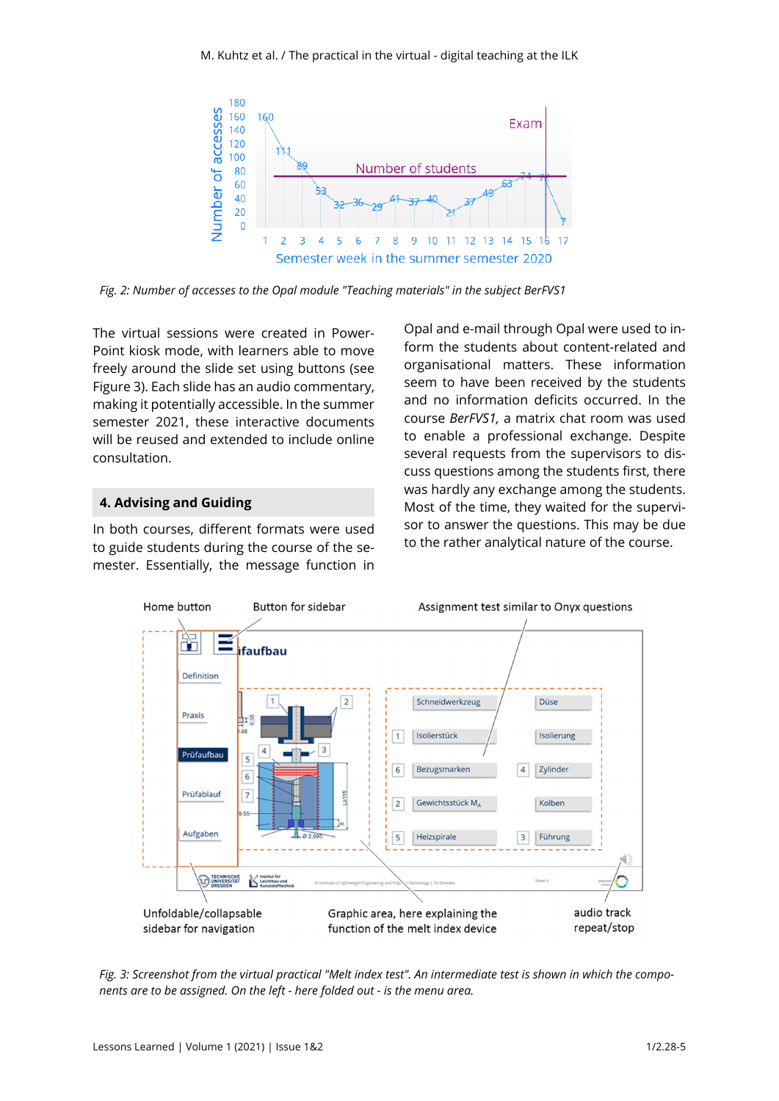

*Fig. 2: Number of accesses to the Opal module "Teaching materials" in the subject BerFVS1* 

The virtual sessions were created in Power-Point kiosk mode, with learners able to move freely around the slide set using buttons (see Figure 3). Each slide has an audio commentary, making it potentially accessible. In the summer semester 2021, these interactive documents will be reused and extended to include online consultation.

# **4. Advising and Guiding**

In both courses, different formats were used to guide students during the course of the semester. Essentially, the message function in

Opal and e-mail through Opal were used to inform the students about content-related and organisational matters. These information seem to have been received by the students and no information deficits occurred. In the course *BerFVS1,* a matrix chat room was used to enable a professional exchange. Despite several requests from the supervisors to discuss questions among the students first, there was hardly any exchange among the students. Most of the time, they waited for the supervisor to answer the questions. This may be due to the rather analytical nature of the course.



*Fig. 3: Screenshot from the virtual practical "Melt index test". An intermediate test is shown in which the components are to be assigned. On the left - here folded out - is the menu area.*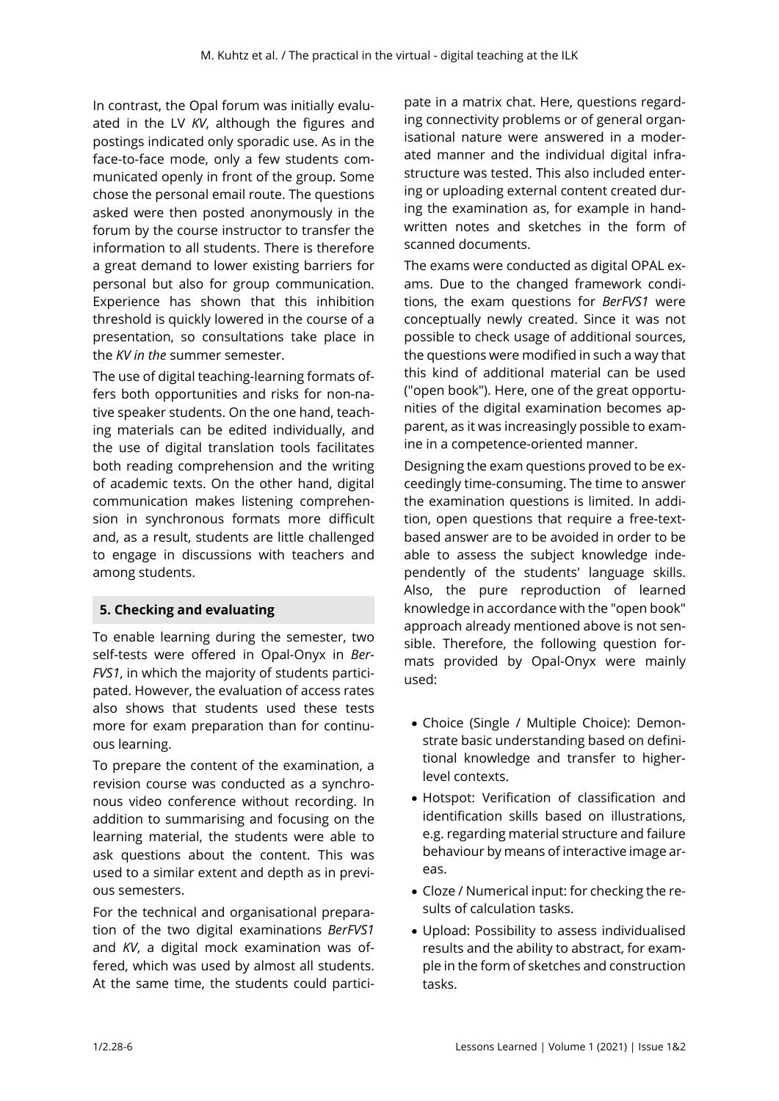In contrast, the Opal forum was initially evaluated in the LV *KV*, although the figures and postings indicated only sporadic use. As in the face-to-face mode, only a few students communicated openly in front of the group. Some chose the personal email route. The questions asked were then posted anonymously in the forum by the course instructor to transfer the information to all students. There is therefore a great demand to lower existing barriers for personal but also for group communication. Experience has shown that this inhibition threshold is quickly lowered in the course of a presentation, so consultations take place in the *KV in the* summer semester.

The use of digital teaching-learning formats offers both opportunities and risks for non-native speaker students. On the one hand, teaching materials can be edited individually, and the use of digital translation tools facilitates both reading comprehension and the writing of academic texts. On the other hand, digital communication makes listening comprehension in synchronous formats more difficult and, as a result, students are little challenged to engage in discussions with teachers and among students.

# **5. Checking and evaluating**

To enable learning during the semester, two self-tests were offered in Opal-Onyx in *Ber-FVS1*, in which the majority of students participated. However, the evaluation of access rates also shows that students used these tests more for exam preparation than for continuous learning.

To prepare the content of the examination, a revision course was conducted as a synchronous video conference without recording. In addition to summarising and focusing on the learning material, the students were able to ask questions about the content. This was used to a similar extent and depth as in previous semesters.

For the technical and organisational preparation of the two digital examinations *BerFVS1*  and *KV*, a digital mock examination was offered, which was used by almost all students. At the same time, the students could partici-

pate in a matrix chat. Here, questions regarding connectivity problems or of general organisational nature were answered in a moderated manner and the individual digital infrastructure was tested. This also included entering or uploading external content created during the examination as, for example in handwritten notes and sketches in the form of scanned documents.

The exams were conducted as digital OPAL exams. Due to the changed framework conditions, the exam questions for *BerFVS1* were conceptually newly created. Since it was not possible to check usage of additional sources, the questions were modified in such a way that this kind of additional material can be used ("open book"). Here, one of the great opportunities of the digital examination becomes apparent, as it was increasingly possible to examine in a competence-oriented manner.

Designing the exam questions proved to be exceedingly time-consuming. The time to answer the examination questions is limited. In addition, open questions that require a free-textbased answer are to be avoided in order to be able to assess the subject knowledge independently of the students' language skills. Also, the pure reproduction of learned knowledge in accordance with the "open book" approach already mentioned above is not sensible. Therefore, the following question formats provided by Opal-Onyx were mainly used:

- Choice (Single / Multiple Choice): Demonstrate basic understanding based on definitional knowledge and transfer to higherlevel contexts.
- Hotspot: Verification of classification and identification skills based on illustrations, e.g. regarding material structure and failure behaviour by means of interactive image areas.
- Cloze / Numerical input: for checking the results of calculation tasks.
- Upload: Possibility to assess individualised results and the ability to abstract, for example in the form of sketches and construction tasks.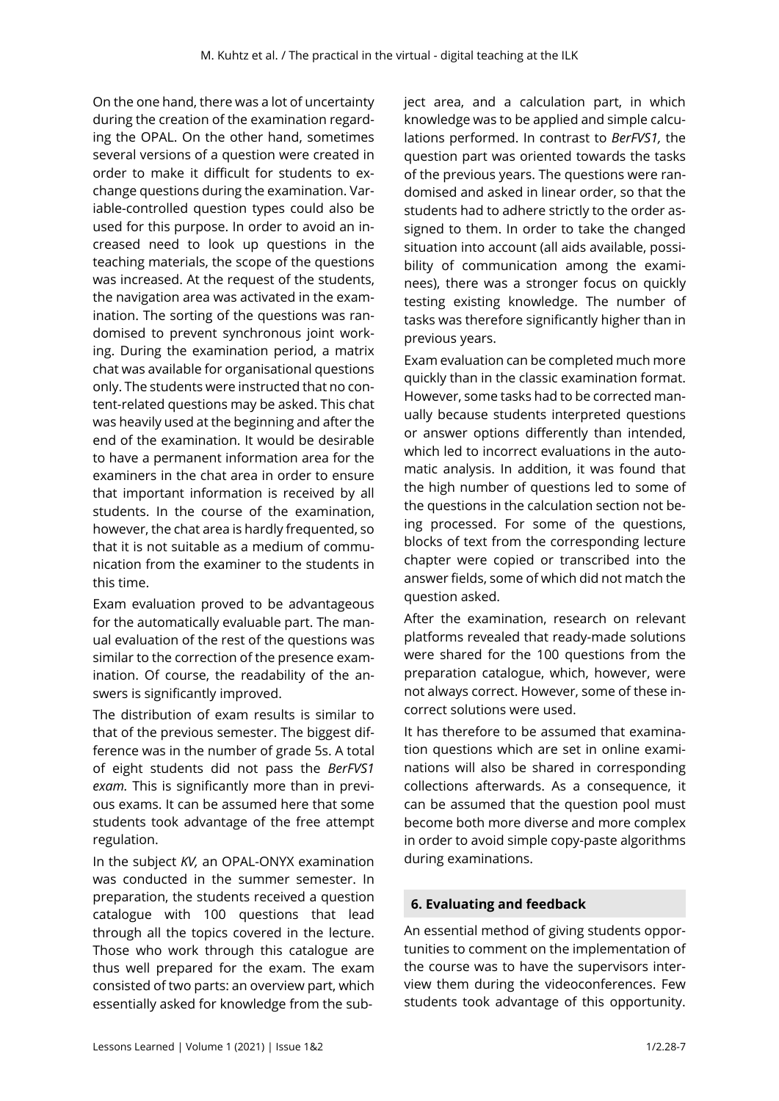On the one hand, there was a lot of uncertainty during the creation of the examination regarding the OPAL. On the other hand, sometimes several versions of a question were created in order to make it difficult for students to exchange questions during the examination. Variable-controlled question types could also be used for this purpose. In order to avoid an increased need to look up questions in the teaching materials, the scope of the questions was increased. At the request of the students, the navigation area was activated in the examination. The sorting of the questions was randomised to prevent synchronous joint working. During the examination period, a matrix chat was available for organisational questions only. The students were instructed that no content-related questions may be asked. This chat was heavily used at the beginning and after the end of the examination. It would be desirable to have a permanent information area for the examiners in the chat area in order to ensure that important information is received by all students. In the course of the examination, however, the chat area is hardly frequented, so that it is not suitable as a medium of communication from the examiner to the students in this time.

Exam evaluation proved to be advantageous for the automatically evaluable part. The manual evaluation of the rest of the questions was similar to the correction of the presence examination. Of course, the readability of the answers is significantly improved.

The distribution of exam results is similar to that of the previous semester. The biggest difference was in the number of grade 5s. A total of eight students did not pass the *BerFVS1 exam.* This is significantly more than in previous exams. It can be assumed here that some students took advantage of the free attempt regulation.

In the subject *KV,* an OPAL-ONYX examination was conducted in the summer semester. In preparation, the students received a question catalogue with 100 questions that lead through all the topics covered in the lecture. Those who work through this catalogue are thus well prepared for the exam. The exam consisted of two parts: an overview part, which essentially asked for knowledge from the subject area, and a calculation part, in which knowledge was to be applied and simple calculations performed. In contrast to *BerFVS1,* the question part was oriented towards the tasks of the previous years. The questions were randomised and asked in linear order, so that the students had to adhere strictly to the order assigned to them. In order to take the changed situation into account (all aids available, possibility of communication among the examinees), there was a stronger focus on quickly testing existing knowledge. The number of tasks was therefore significantly higher than in previous years.

Exam evaluation can be completed much more quickly than in the classic examination format. However, some tasks had to be corrected manually because students interpreted questions or answer options differently than intended, which led to incorrect evaluations in the automatic analysis. In addition, it was found that the high number of questions led to some of the questions in the calculation section not being processed. For some of the questions, blocks of text from the corresponding lecture chapter were copied or transcribed into the answer fields, some of which did not match the question asked.

After the examination, research on relevant platforms revealed that ready-made solutions were shared for the 100 questions from the preparation catalogue, which, however, were not always correct. However, some of these incorrect solutions were used.

It has therefore to be assumed that examination questions which are set in online examinations will also be shared in corresponding collections afterwards. As a consequence, it can be assumed that the question pool must become both more diverse and more complex in order to avoid simple copy-paste algorithms during examinations.

# **6. Evaluating and feedback**

An essential method of giving students opportunities to comment on the implementation of the course was to have the supervisors interview them during the videoconferences. Few students took advantage of this opportunity.